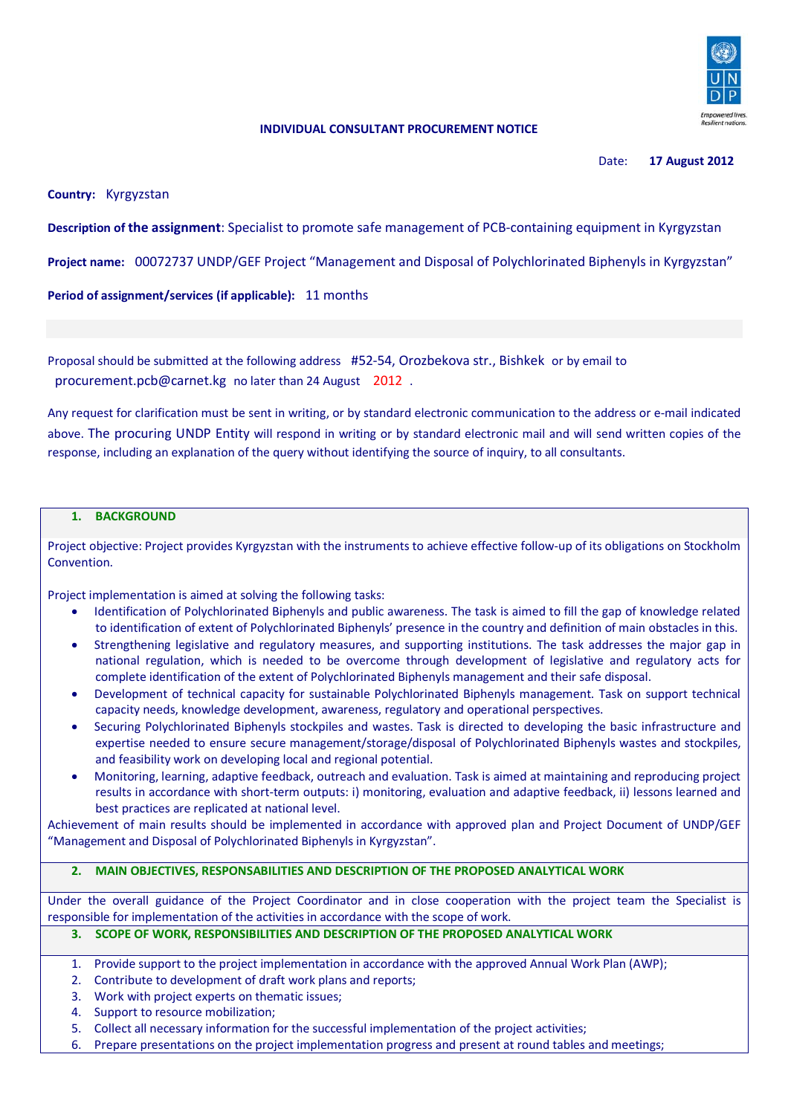

### **INDIVIDUAL CONSULTANT PROCUREMENT NOTICE**

Date: **17 August 2012**

**Country:** Kyrgyzstan

**Description of the assignment**: Specialist to promote safe management of PCB-containing equipment in Kyrgyzstan

**Project name:** 00072737 UNDP/GEF Project "Management and Disposal of Polychlorinated Biphenyls in Kyrgyzstan"

**Period of assignment/services (if applicable):** 11 months

Proposal should be submitted at the following address #52-54, Orozbekova str., Bishkek or by email to procurement.pcb@carnet.kg no later than 24 August 2012.

Any request for clarification must be sent in writing, or by standard electronic communication to the address or e-mail indicated above. The procuring UNDP Entity will respond in writing or by standard electronic mail and will send written copies of the response, including an explanation of the query without identifying the source of inquiry, to all consultants.

### **1. BACKGROUND**

Project objective: Project provides Kyrgyzstan with the instruments to achieve effective follow-up of its obligations on Stockholm Convention.

Project implementation is aimed at solving the following tasks:

- Identification of Polychlorinated Biphenyls and public awareness. The task is aimed to fill the gap of knowledge related to identification of extent of Polychlorinated Biphenyls' presence in the country and definition of main obstacles in this.
- Strengthening legislative and regulatory measures, and supporting institutions. The task addresses the major gap in national regulation, which is needed to be overcome through development of legislative and regulatory acts for complete identification of the extent of Polychlorinated Biphenyls management and their safe disposal.
- Development of technical capacity for sustainable Polychlorinated Biphenyls management. Task on support technical capacity needs, knowledge development, awareness, regulatory and operational perspectives.
- Securing Polychlorinated Biphenyls stockpiles and wastes. Task is directed to developing the basic infrastructure and expertise needed to ensure secure management/storage/disposal of Polychlorinated Biphenyls wastes and stockpiles, and feasibility work on developing local and regional potential.
- Monitoring, learning, adaptive feedback, outreach and evaluation. Task is aimed at maintaining and reproducing project results in accordance with short-term outputs: i) monitoring, evaluation and adaptive feedback, ii) lessons learned and best practices are replicated at national level.

Achievement of main results should be implemented in accordance with approved plan and Project Document of UNDP/GEF "Management and Disposal of Polychlorinated Biphenyls in Kyrgyzstan".

### **2. MAIN OBJECTIVES, RESPONSABILITIES AND DESCRIPTION OF THE PROPOSED ANALYTICAL WORK**

Under the overall guidance of the Project Coordinator and in close cooperation with the project team the Specialist is responsible for implementation of the activities in accordance with the scope of work.

# **3. SCOPE OF WORK, RESPONSIBILITIES AND DESCRIPTION OF THE PROPOSED ANALYTICAL WORK**

- 1. Provide support to the project implementation in accordance with the approved Annual Work Plan (AWP);
- 2. Contribute to development of draft work plans and reports;
- 3. Work with project experts on thematic issues;
- 4. Support to resource mobilization;
- 5. Collect all necessary information for the successful implementation of the project activities;
- 6. Prepare presentations on the project implementation progress and present at round tables and meetings;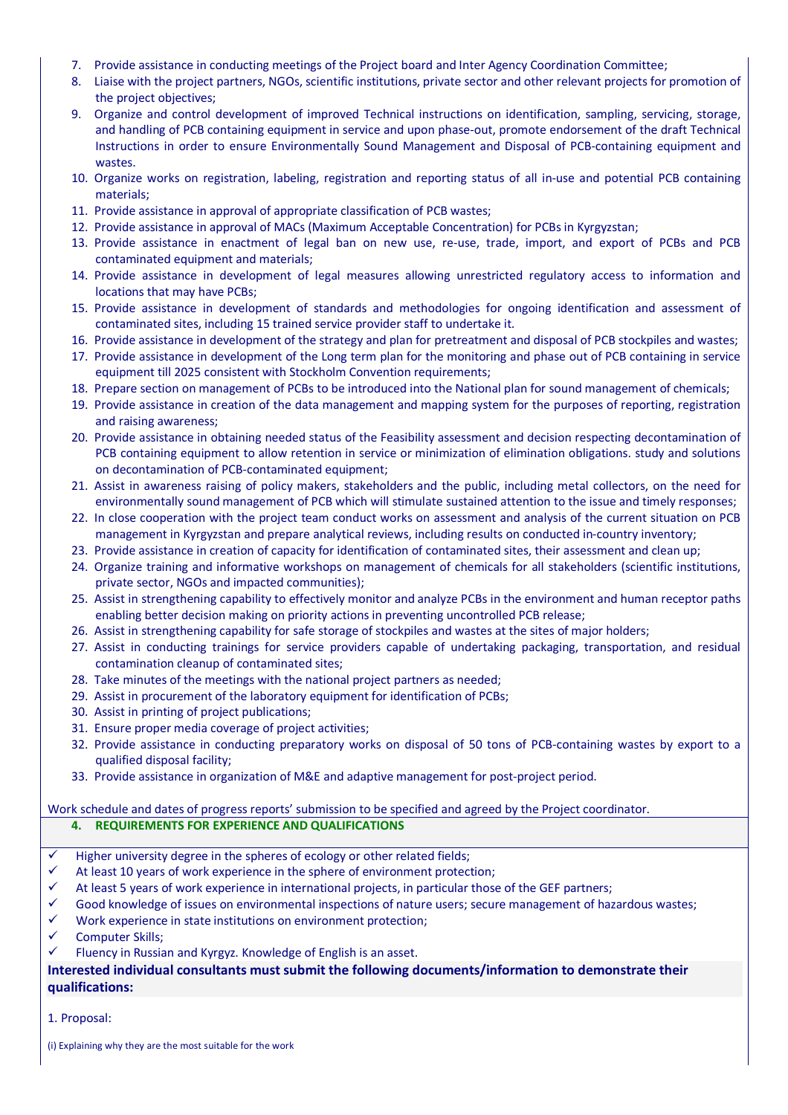- 7. Provide assistance in conducting meetings of the Project board and Inter Agency Coordination Committee;
- 8. Liaise with the project partners, NGOs, scientific institutions, private sector and other relevant projects for promotion of the project objectives;
- 9. Organize and control development of improved Technical instructions on identification, sampling, servicing, storage, and handling of PCB containing equipment in service and upon phase-out, promote endorsement of the draft Technical Instructions in order to ensure Environmentally Sound Management and Disposal of PCB-containing equipment and wastes.
- 10. Organize works on registration, labeling, registration and reporting status of all in-use and potential PCB containing materials;
- 11. Provide assistance in approval of appropriate classification of PCB wastes;
- 12. Provide assistance in approval of MACs (Maximum Acceptable Concentration) for PCBs in Kyrgyzstan;
- 13. Provide assistance in enactment of legal ban on new use, re-use, trade, import, and export of PCBs and PCB contaminated equipment and materials;
- 14. Provide assistance in development of legal measures allowing unrestricted regulatory access to information and locations that may have PCBs;
- 15. Provide assistance in development of standards and methodologies for ongoing identification and assessment of contaminated sites, including 15 trained service provider staff to undertake it.
- 16. Provide assistance in development of the strategy and plan for pretreatment and disposal of PCB stockpiles and wastes;
- 17. Provide assistance in development of the Long term plan for the monitoring and phase out of PCB containing in service equipment till 2025 consistent with Stockholm Convention requirements;
- 18. Prepare section on management of PCBs to be introduced into the National plan for sound management of chemicals;
- 19. Provide assistance in creation of the data management and mapping system for the purposes of reporting, registration and raising awareness;
- 20. Provide assistance in obtaining needed status of the Feasibility assessment and decision respecting decontamination of PCB containing equipment to allow retention in service or minimization of elimination obligations. study and solutions on decontamination of PCB-contaminated equipment;
- 21. Assist in awareness raising of policy makers, stakeholders and the public, including metal collectors, on the need for environmentally sound management of PCB which will stimulate sustained attention to the issue and timely responses;
- 22. In close cooperation with the project team conduct works on assessment and analysis of the current situation on PCB management in Kyrgyzstan and prepare analytical reviews, including results on conducted in-country inventory;
- 23. Provide assistance in creation of capacity for identification of contaminated sites, their assessment and clean up;
- 24. Organize training and informative workshops on management of chemicals for all stakeholders (scientific institutions, private sector, NGOs and impacted communities);
- 25. Assist in strengthening capability to effectively monitor and analyze PCBs in the environment and human receptor paths enabling better decision making on priority actions in preventing uncontrolled PCB release;
- 26. Assist in strengthening capability for safe storage of stockpiles and wastes at the sites of major holders;
- 27. Assist in conducting trainings for service providers capable of undertaking packaging, transportation, and residual contamination cleanup of contaminated sites;
- 28. Take minutes of the meetings with the national project partners as needed;
- 29. Assist in procurement of the laboratory equipment for identification of PCBs;
- 30. Assist in printing of project publications;
- 31. Ensure proper media coverage of project activities;
- 32. Provide assistance in conducting preparatory works on disposal of 50 tons of PCB-containing wastes by export to a qualified disposal facility;
- 33. Provide assistance in organization of M&E and adaptive management for post-project period.

Work schedule and dates of progress reports' submission to be specified and agreed by the Project coordinator.

## **4. REQUIREMENTS FOR EXPERIENCE AND QUALIFICATIONS**

- $\checkmark$  Higher university degree in the spheres of ecology or other related fields;
- $\checkmark$  At least 10 years of work experience in the sphere of environment protection;
- $\checkmark$  At least 5 years of work experience in international projects, in particular those of the GEF partners;
- $\checkmark$  Good knowledge of issues on environmental inspections of nature users; secure management of hazardous wastes;
- $\checkmark$  Work experience in state institutions on environment protection;
- $\checkmark$  Computer Skills:
- Fluency in Russian and Kyrgyz. Knowledge of English is an asset.

## **Interested individual consultants must submit the following documents/information to demonstrate their qualifications:**

1. Proposal:

(i) Explaining why they are the most suitable for the work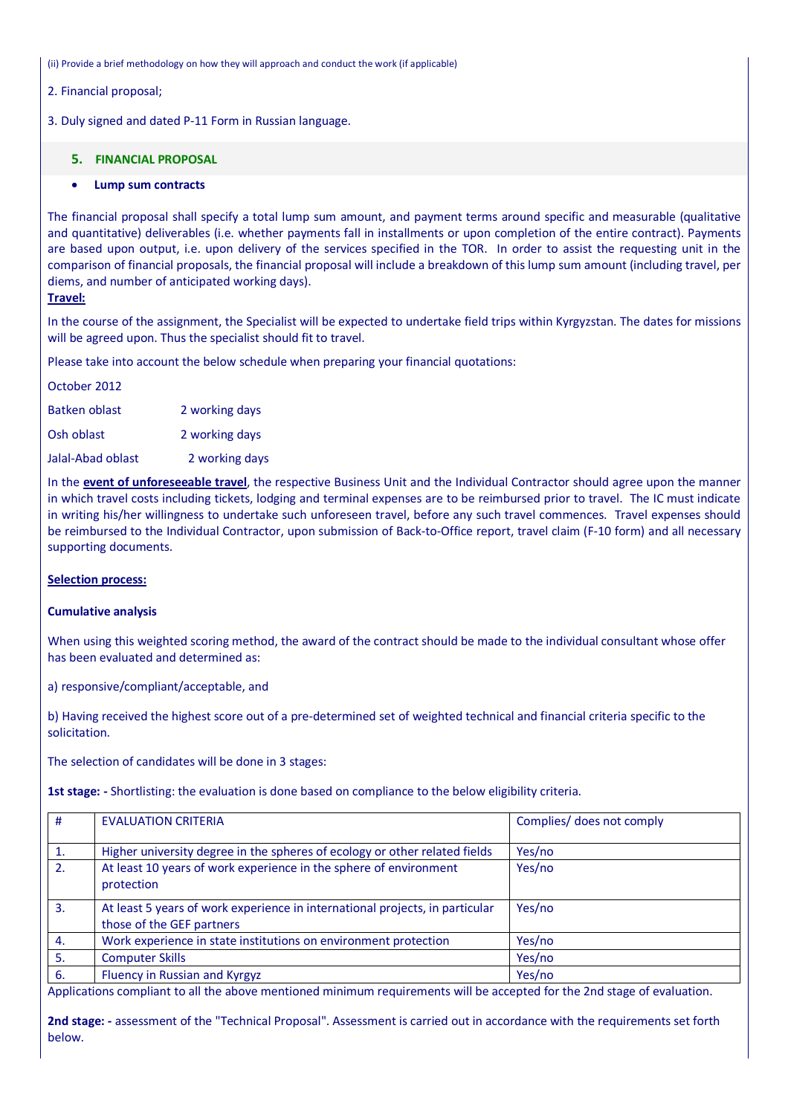(ii) Provide a brief methodology on how they will approach and conduct the work (if applicable)

2. Financial proposal;

3. Duly signed and dated P-11 Form in Russian language.

#### **5. FINANCIAL PROPOSAL**

#### **Lump sum contracts**

The financial proposal shall specify a total lump sum amount, and payment terms around specific and measurable (qualitative and quantitative) deliverables (i.e. whether payments fall in installments or upon completion of the entire contract). Payments are based upon output, i.e. upon delivery of the services specified in the TOR. In order to assist the requesting unit in the comparison of financial proposals, the financial proposal will include a breakdown of this lump sum amount (including travel, per diems, and number of anticipated working days).

### **Travel:**

In the course of the assignment, the Specialist will be expected to undertake field trips within Kyrgyzstan. The dates for missions will be agreed upon. Thus the specialist should fit to travel.

Please take into account the below schedule when preparing your financial quotations:

| October 2012  |                |
|---------------|----------------|
| Batken oblast | 2 working days |
| Osh oblast    | 2 working days |

Jalal-Abad oblast 2 working days

In the **event of unforeseeable travel**, the respective Business Unit and the Individual Contractor should agree upon the manner in which travel costs including tickets, lodging and terminal expenses are to be reimbursed prior to travel. The IC must indicate in writing his/her willingness to undertake such unforeseen travel, before any such travel commences. Travel expenses should be reimbursed to the Individual Contractor, upon submission of Back-to-Office report, travel claim (F-10 form) and all necessary supporting documents.

#### **Selection process:**

#### **Cumulative analysis**

When using this weighted scoring method, the award of the contract should be made to the individual consultant whose offer has been evaluated and determined as:

a) responsive/compliant/acceptable, and

b) Having received the highest score out of a pre-determined set of weighted technical and financial criteria specific to the solicitation.

The selection of candidates will be done in 3 stages:

**1st stage: -** Shortlisting: the evaluation is done based on compliance to the below eligibility criteria.

| #                | <b>EVALUATION CRITERIA</b>                                                                                | Complies/ does not comply |
|------------------|-----------------------------------------------------------------------------------------------------------|---------------------------|
| 1.               | Higher university degree in the spheres of ecology or other related fields                                | Yes/no                    |
| 2.               | At least 10 years of work experience in the sphere of environment<br>protection                           | Yes/no                    |
| $\overline{3}$ . | At least 5 years of work experience in international projects, in particular<br>those of the GEF partners | Yes/no                    |
| 4.               | Work experience in state institutions on environment protection                                           | Yes/no                    |
| 5.               | <b>Computer Skills</b>                                                                                    | Yes/no                    |
| 6.               | Fluency in Russian and Kyrgyz                                                                             | Yes/no                    |

Applications compliant to all the above mentioned minimum requirements will be accepted for the 2nd stage of evaluation.

**2nd stage: -** assessment of the "Technical Proposal". Assessment is carried out in accordance with the requirements set forth below.